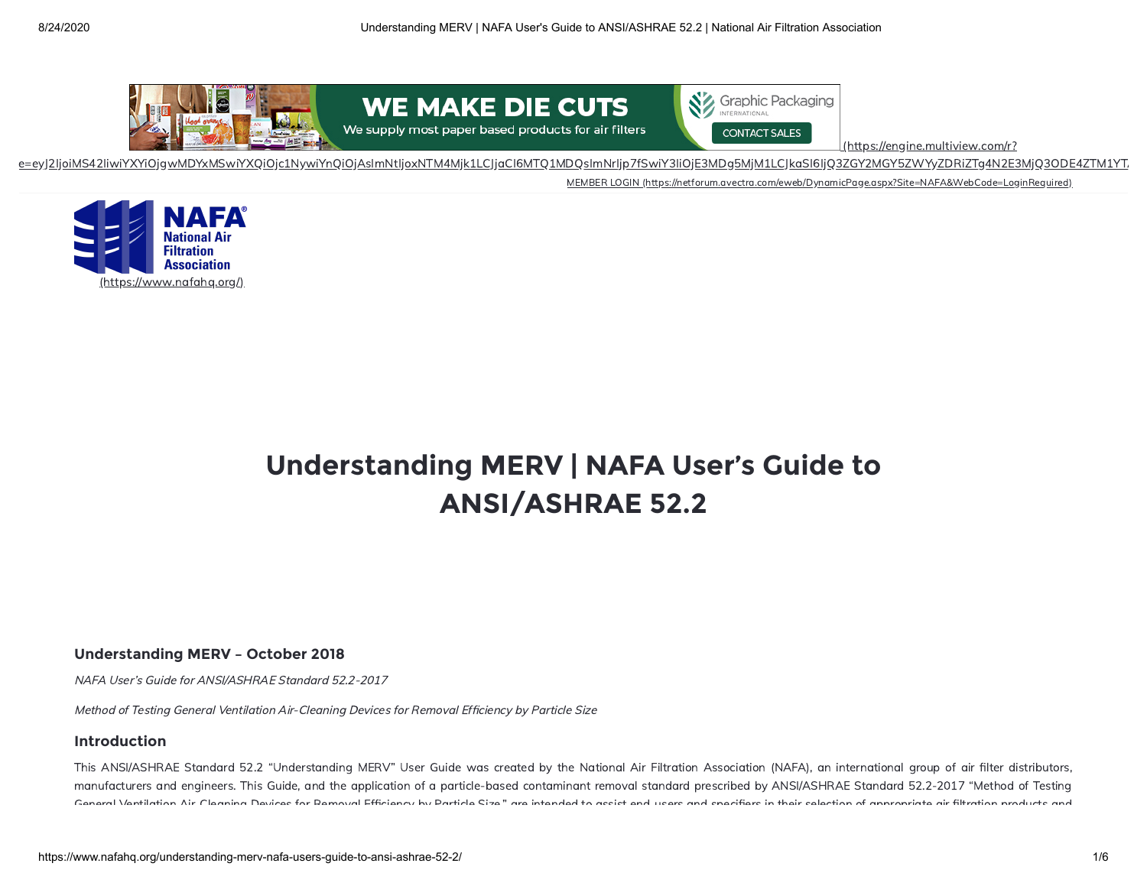



(https://engine.multiview.com/r?

[e=eyJ2IjoiMS42IiwiYXYiOjgwMDYxMSwiYXQiOjc1NywiYnQiOjAsImNtIjoxNTM4Mjk1LCJjaCI6MTQ1MDQsImNrIjp7fSwiY3IiOjE3MDg5MjM1LCJkaSI6IjQ3ZGY2MGY5ZWYyZDRiZTg4N2E3MjQ3ODE4ZTM1YTA](https://engine.multiview.com/r?e=eyJ2IjoiMS42IiwiYXYiOjgwMDYxMSwiYXQiOjc1NywiYnQiOjAsImNtIjoxNTM4Mjk1LCJjaCI6MTQ1MDQsImNrIjp7fSwiY3IiOjE3MDg5MjM1LCJkaSI6IjQ3ZGY2MGY5ZWYyZDRiZTg4N2E3MjQ3ODE4ZTM1YTA2IiwiZGoiOjAsImlpIjoiYzZjMDE2Mzg3YzJhNDVhMDgyMjFhYTU3NGEzZmMzMjgiLCJkbSI6MSwiZmMiOjE5NzYwNDU3LCJmbCI6MTE1MTgwNDEsImlwIjoiNDcuMTQ3LjIxMi4yMzgiLCJudyI6NDQ2NiwicGMiOjAsImVjIjowLCJwciI6NDc0MzAsInJ0IjoxLCJycyI6NTAwLCJzYSI6IjgiLCJzYiI6ImktMDllY2MzZjljYTUyOGNmM2UiLCJzcCI6NjkyOSwic3QiOjUzMjMzLCJ1ayI6InVlMS02MjE1Y2M3M2Q5NTQ0MTQwYjBmY2JjM2QxZDA3YzA5YiIsInpuIjo1MzI3MiwidHMiOjE1OTgzMDY1MDI2MjQsImJmIjp0cnVlLCJwbiI6Im12QmFubmVyIiwiZ2MiOnRydWUsImdDIjp0cnVlLCJncyI6Im5vbmUiLCJ1ciI6Imh0dHBzOi8vd3d3LmdyYXBoaWNwa2cuY29tLz9DSUQ9bXZ3ZWJfbmFmYSJ9&s=kjlkUVx_DdQCo3RPryAcWqDCM0k) [MEMBER LOGIN \(https://netforum.avectra.com/eweb/DynamicPage.aspx?Site=NAFA&WebCode=LoginRequired\)](https://netforum.avectra.com/eweb/DynamicPage.aspx?Site=NAFA&WebCode=LoginRequired) --------------- ~-----~----- ------ ------------ ----- ------------ --- iY3liOjE3MDg5MjM1LCJkaSI6IjQ3ZGY2MGY5ZWYyZDRiZTg4N2E3MjQ3ODE<br>ps://netforum.avectra.com/eweb/DynamicPage.aspx?Site=NAFA&WebCode=LoginRequired)<br>ps://netforum.avectra.com/eweb/DynamicPage.aspx?Site=NAFA&WebCode=LoginRequired)

**WE MAKE DIE CUTS** 



# **Understanding MERV | NAFA User's Guide to ANSI/ASHRAE 52.2**

## **Understanding MERV – October 2018**

NAFA User's Guide for ANSI/ASHRAE Standard 52.2-2017

Method of Testing General Ventilation Air-Cleaning Devices for Removal Efficiency by Particle Size

## **Introduction**

This ANSI/ASHRAE Standard 52.2 "Understanding MERV" User Guide was created by the National Air Filtration Association (NAFA), an international group of air lter distributors, manufacturers and engineers. This Guide, and the application of a particle-based contaminant removal standard prescribed by ANSI/ASHRAE Standard 52.2-2017 "Method of Testing General Ventilation Air Cleaning Devices for Removal Efficiency by Particle Size" are intended to assist end users and specifiers in their selection of appropriate air filtration products and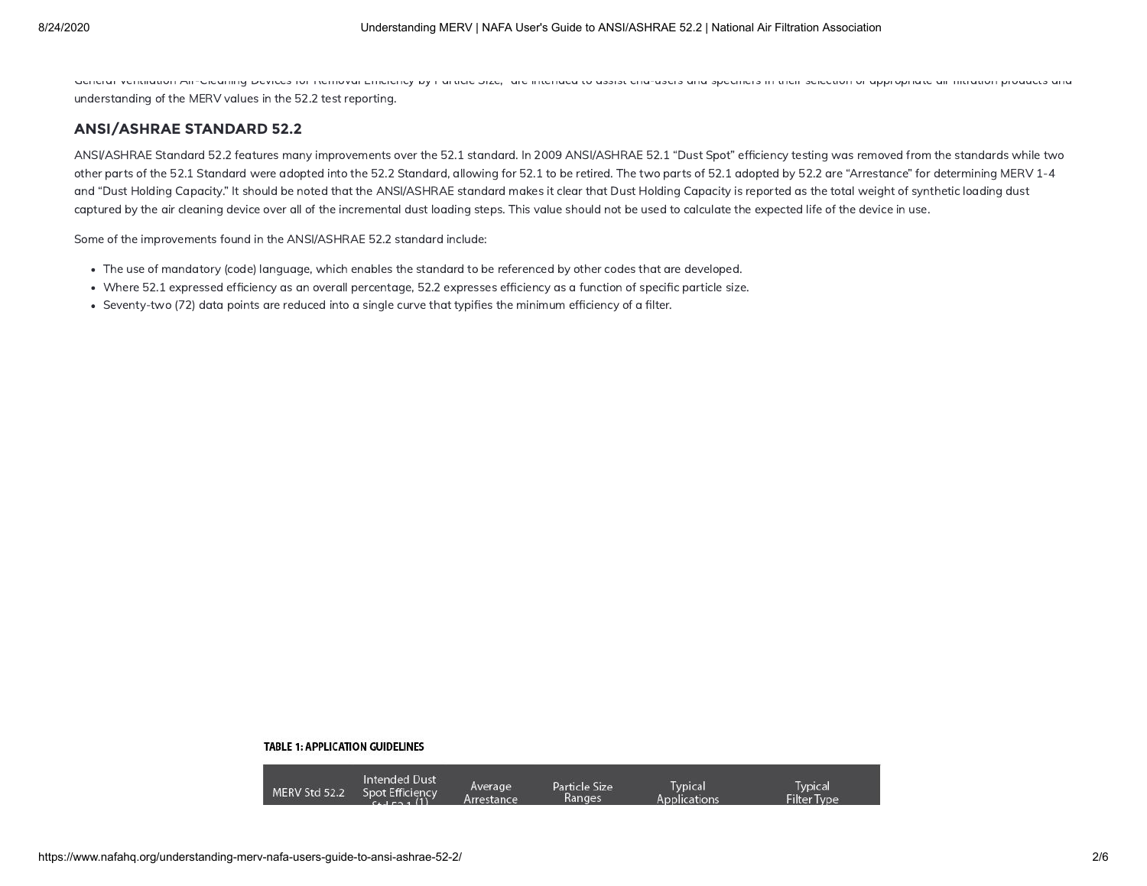General Ventilation Air-Cleaning Devices for Removal Efficiency by Particle Size, are intended to assist end-users and specifiers in their selection or appropriate air mitration products and understanding of the MERV values in the 52.2 test reporting.

## **ANSI/ASHRAE STANDARD 52.2**

ANSI/ASHRAE Standard 52.2 features many improvements over the 52.1 standard. In 2009 ANSI/ASHRAE 52.1 "Dust Spot" efficiency testing was removed from the standards while two other parts of the 52.1 Standard were adopted into the 52.2 Standard, allowing for 52.1 to be retired. The two parts of 52.1 adopted by 52.2 are "Arrestance" for determining MERV 1-4 and "Dust Holding Capacity." It should be noted that the ANSI/ASHRAE standard makes it clear that Dust Holding Capacity is reported as the total weight of synthetic loading dust captured by the air cleaning device over all of the incremental dust loading steps. This value should not be used to calculate the expected life of the device in use.

Some of the improvements found in the ANSI/ASHRAE 52.2 standard include:

- The use of mandatory (code) language, which enables the standard to be referenced by other codes that are developed.
- Where 52.1 expressed efficiency as an overall percentage, 52.2 expresses efficiency as a function of specific particle size.
- Seventy-two (72) data points are reduced into a single curve that typifies the minimum efficiency of a filter.

#### **TABLE 1: APPLICATION GUIDELINES**

| Intended Dust<br>MERV Std 52.2<br>Spot Efficiency<br>0.1521(1) | Particle Size<br>Average<br>Ranges<br>Arrestance | Typical<br>Applications | Typical<br><b>Filter Type</b> |
|----------------------------------------------------------------|--------------------------------------------------|-------------------------|-------------------------------|
|----------------------------------------------------------------|--------------------------------------------------|-------------------------|-------------------------------|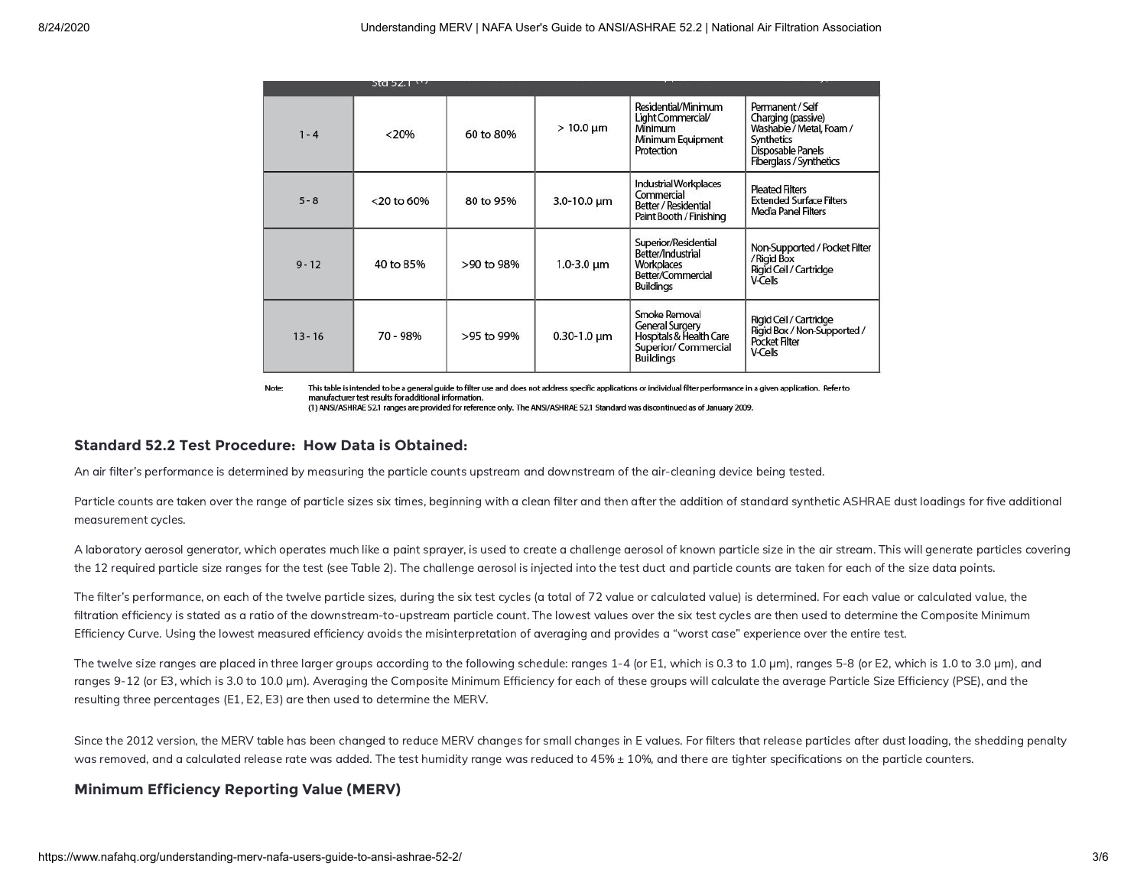|           | 30032.1       |            |                    |                                                                                                               |                                                                                                                                         |
|-----------|---------------|------------|--------------------|---------------------------------------------------------------------------------------------------------------|-----------------------------------------------------------------------------------------------------------------------------------------|
| $1 - 4$   | < 20%         | 60 to 80%  | $>10.0 \mu m$      | Residential/Minimum<br>Light Commercial/<br>Minimum<br>Minimum Equipment<br>Protection                        | Permanent / Self<br>Charging (passive)<br>Washable / Metal, Foam /<br>Synthetics<br>Disposable Panels<br><b>Fiberglass / Synthetics</b> |
| $5 - 8$   | $<$ 20 to 60% | 80 to 95%  | $3.0 - 10.0 \mu m$ | Industrial Workplaces<br>Commercial<br>Better / Residential<br>Paint Booth / Finishing                        | <b>Pleated Filters</b><br><b>Extended Surface Filters</b><br>Media Panel Filters                                                        |
| $9 - 12$  | 40 to 85%     | >90 to 98% | $1.0 - 3.0 \mu m$  | Superior/Residential<br>Better/Industrial<br>Workplaces<br>Better/Commercial<br><b>Buildings</b>              | Non-Supported / Pocket Filter<br>/ Rigid Box<br>Rigid Cell / Cartridge<br><b>V-Cells</b>                                                |
| $13 - 16$ | 70 - 98%      | >95 to 99% | $0.30 - 1.0 \mu m$ | Smoke Removal<br><b>General Surgery</b><br>Hospitals & Health Care<br>Superior/Commercial<br><b>Buildings</b> | Rigid Cell / Cartridge<br>Rigid Box / Non-Supported /<br><b>Pocket Filter</b><br><b>V-Cells</b>                                         |

Note: This table is intended to be a general guide to filter use and does not address specific applications or individual filter performance in a given application. Refer to manufacturer test results for additional information. (1) ANSI/ASHRAE 52.1 ranges are provided for reference only. The ANSI/ASHRAE 52.1 Standard was discontinued as of January 2009.

## **Standard 52.2 Test Procedure: How Data is Obtained:**

An air filter's performance is determined by measuring the particle counts upstream and downstream of the air-cleaning device being tested.

Particle counts are taken over the range of particle sizes six times, beginning with a clean filter and then after the addition of standard synthetic ASHRAE dust loadings for five additional measurement cycles.

A laboratory aerosol generator, which operates much like a paint sprayer, is used to create a challenge aerosol of known particle size in the air stream. This will generate particles covering the 12 required particle size ranges for the test (see Table 2). The challenge aerosol is injected into the test duct and particle counts are taken for each of the size data points.

The filter's performance, on each of the twelve particle sizes, during the six test cycles (a total of 72 value or calculated value) is determined. For each value or calculated value, the filtration efficiency is stated as a ratio of the downstream-to-upstream particle count. The lowest values over the six test cycles are then used to determine the Composite Minimum Efficiency Curve. Using the lowest measured efficiency avoids the misinterpretation of averaging and provides a "worst case" experience over the entire test.

The twelve size ranges are placed in three larger groups according to the following schedule: ranges 1-4 (or E1, which is 0.3 to 1.0 µm), ranges 5-8 (or E2, which is 1.0 to 3.0 µm), and ranges 9-12 (or E3, which is 3.0 to 10.0 µm). Averaging the Composite Minimum Efficiency for each of these groups will calculate the average Particle Size Efficiency (PSE), and the resulting three percentages (E1, E2, E3) are then used to determine the MERV.

Since the 2012 version, the MERV table has been changed to reduce MERV changes for small changes in E values. For filters that release particles after dust loading, the shedding penalty was removed, and a calculated release rate was added. The test humidity range was reduced to 45% ± 10%, and there are tighter specifications on the particle counters.

## **Minimum Efficiency Reporting Value (MERV)**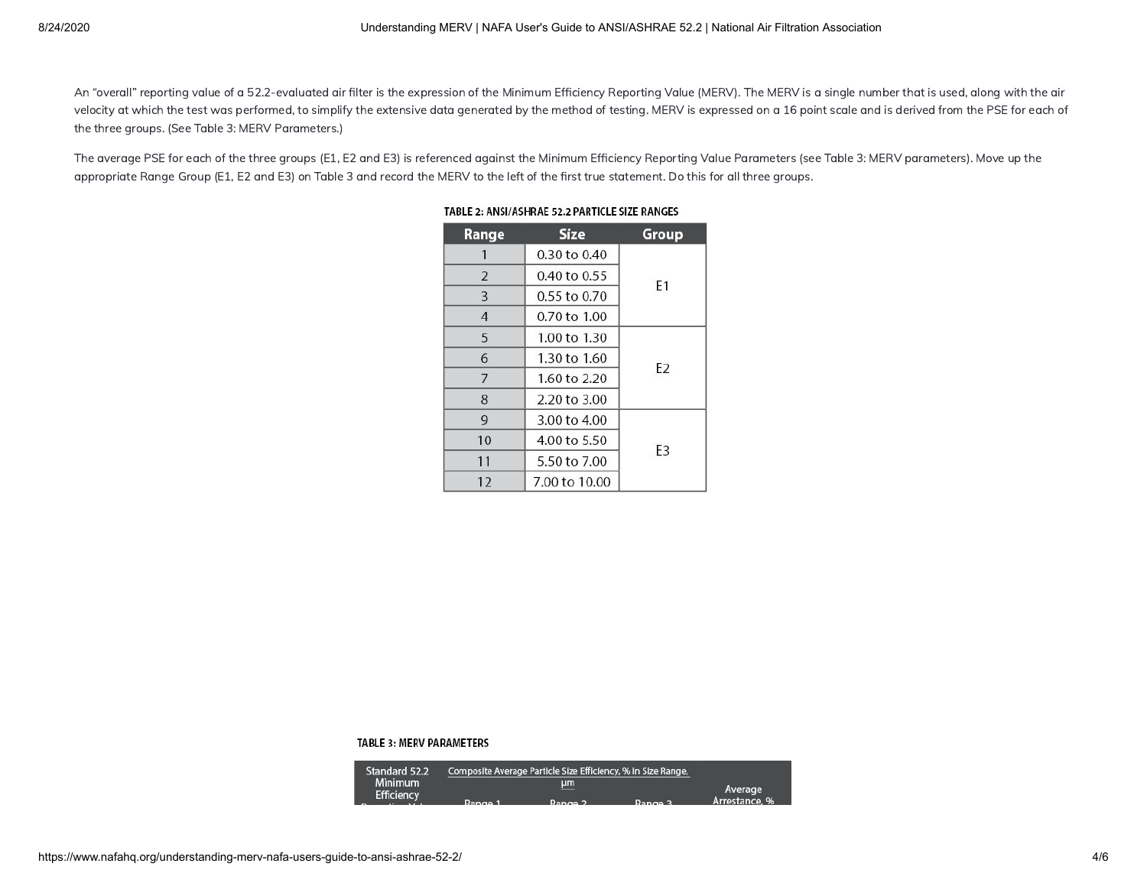An "overall" reporting value of a 52.2-evaluated air filter is the expression of the Minimum Efficiency Reporting Value (MERV). The MERV is a single number that is used, along with the air velocity at which the test was performed, to simplify the extensive data generated by the method of testing. MERV is expressed on a 16 point scale and is derived from the PSE for each of the three groups. (See Table 3: MERV Parameters.)

The average PSE for each of the three groups (E1, E2 and E3) is referenced against the Minimum Efficiency Reporting Value Parameters (see Table 3: MERV parameters). Move up the appropriate Range Group (E1, E2 and E3) on Table 3 and record the MERV to the left of the first true statement. Do this for all three groups.

| Range          | <b>Size</b>   | Group          |  |
|----------------|---------------|----------------|--|
|                | 0.30 to 0.40  |                |  |
| 2              | 0.40 to 0.55  | F1             |  |
| 3              | 0.55 to 0.70  |                |  |
| $\overline{4}$ | 0.70 to 1.00  |                |  |
| 5              | 1.00 to 1.30  |                |  |
| 6              | 1.30 to 1.60  | E <sub>2</sub> |  |
| 7              | 1.60 to 2.20  |                |  |
| 8              | 2.20 to 3.00  |                |  |
| 9              | 3.00 to 4.00  |                |  |
| 10             | 4.00 to 5.50  | F3             |  |
| 11             | 5.50 to 7.00  |                |  |
| 12             | 7.00 to 10.00 |                |  |

### TABLE 2: ANSI/ASHRAE 52.2 PARTICLE SIZE RANGES

#### **TABLE** 3: **MERV PARAMETERS**

| Standard 52.2                       | Composite Average Particle Size Efficiency, % in Size Range, |         |         |               |
|-------------------------------------|--------------------------------------------------------------|---------|---------|---------------|
| <b>Minimum</b><br><b>Efficiency</b> |                                                              | μm      |         | Average       |
|                                     | D <sub>2</sub>                                               | $D_{2}$ | $D_{2}$ | Arrestance, % |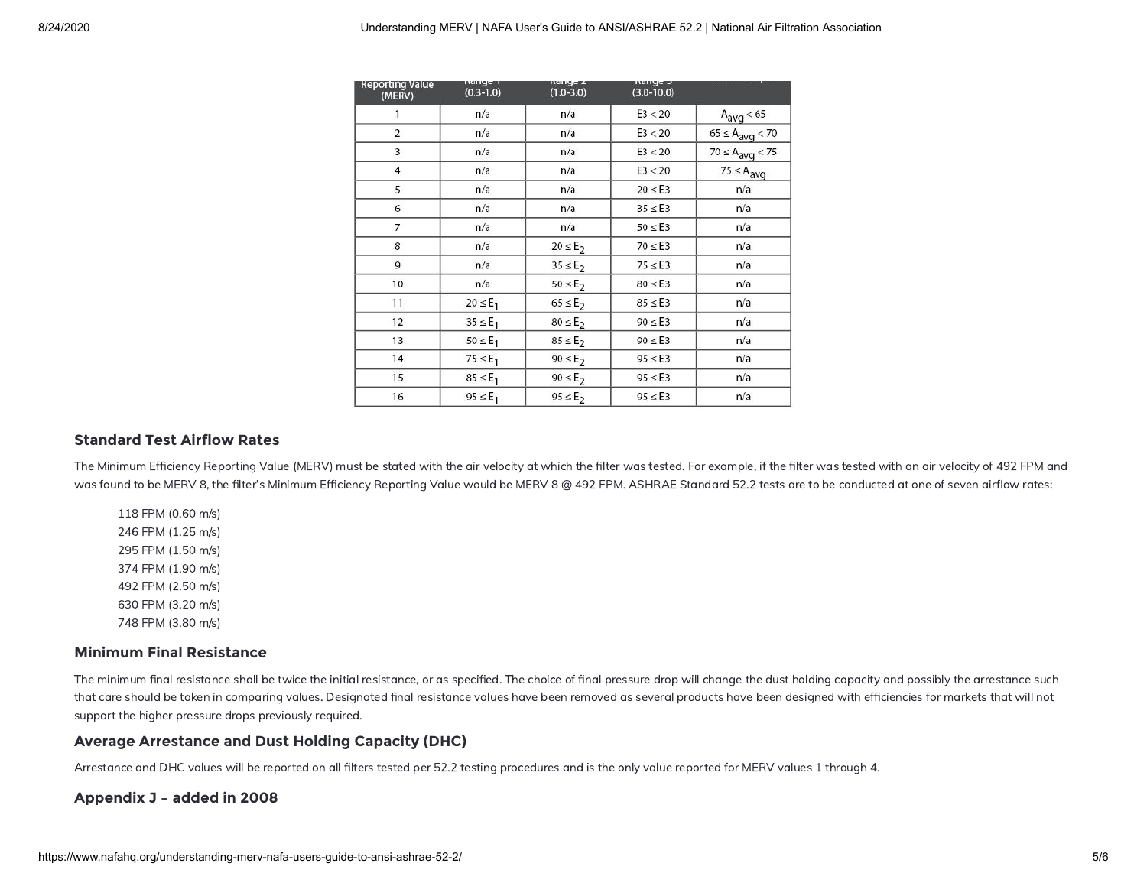| <b>Reporting Value</b><br>(MERV) | nanye n<br>$(0.3 - 1.0)$ | nange z<br>$(1.0 - 3.0)$ | nanye J<br>$(3.0 - 10.0)$ |                        |
|----------------------------------|--------------------------|--------------------------|---------------------------|------------------------|
| 1                                | n/a                      | n/a                      | E3 < 20                   | $A_{avg}$ < 65         |
| $\overline{2}$                   | n/a                      | n/a                      | E3 < 20                   | $65 \leq A_{avg} < 70$ |
| 3                                | n/a                      | n/a                      | E3 < 20                   | $70 \leq A_{avg} < 75$ |
| $\overline{4}$                   | n/a                      | n/a                      | E3 < 20                   | $75 \leq A_{avg}$      |
| 5                                | n/a                      | n/a                      | $20 \leq E3$              | n/a                    |
| 6                                | n/a                      | n/a                      | $35 \leq E3$              | n/a                    |
| $\overline{7}$                   | n/a                      | n/a                      | $50 \leq E3$              | n/a                    |
| 8                                | n/a                      | $20 \le E_2$             | $70 \leq E3$              | n/a                    |
| 9                                | n/a                      | $35 \le E_2$             | $75 \leq E3$              | n/a                    |
| 10                               | n/a                      | $50 \le E_2$             | $80 \leq E3$              | n/a                    |
| 11                               | $20 \leq E_1$            | $65 \le E_2$             | $85 \leq E3$              | n/a                    |
| 12                               | $35 \leq E_1$            | $80 \le E_2$             | $90 \leq E3$              | n/a                    |
| 13                               | $50 \leq E_1$            | $85 \le E_2$             | $90 \leq E3$              | n/a                    |
| 14                               | $75 \leq E_1$            | $90 \le E_2$             | $95 \leq E3$              | n/a                    |
| 15                               | $85 \leq E_1$            | $90 \le E_2$             | $95 \leq E3$              | n/a                    |
| 16                               | $95 \leq E_1$            | $95 \leq E_2$            | $95 \leq E3$              | n/a                    |

## **Standard Test Airflow Rates**

The Minimum Efficiency Reporting Value (MERV) must be stated with the air velocity at which the filter was tested. For example, if the filter was tested with an air velocity of 492 FPM and was found to be MERV 8, the filter's Minimum Efficiency Reporting Value would be MERV 8 @ 492 FPM. ASHRAE Standard 52.2 tests are to be conducted at one of seven airflow rates:

118 FPM (0.60 m/s) 246 FPM (1.25 m/s) 295 FPM (1.50 m/s) 374 FPM (1.90 m/s) 492 FPM (2.50 m/s) 630 FPM (3.20 m/s) 748 FPM (3.80 m/s)

## **Minimum Final Resistance**

The minimum final resistance shall be twice the initial resistance, or as specified. The choice of final pressure drop will change the dust holding capacity and possibly the arrestance such that care should be taken in comparing values. Designated final resistance values have been removed as several products have been designed with efficiencies for markets that will not support the higher pressure drops previously required.

## **Average Arrestance and Dust Holding Capacity (DHC)**

Arrestance and DHC values will be reported on all filters tested per 52.2 testing procedures and is the only value reported for MERV values 1 through 4.

## **Appendix J – added in 2008**